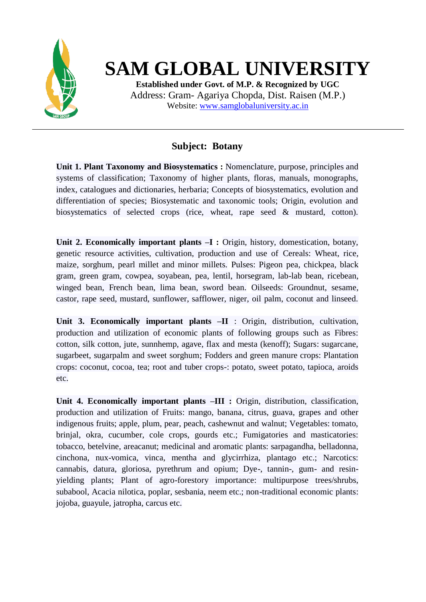

## **SAM GLOBAL UNIVERSITY**

**Established under Govt. of M.P. & Recognized by UGC** Address: Gram- Agariya Chopda, Dist. Raisen (M.P.) Website: [www.samglobaluniversity.ac.in](http://www.samglobaluniversity.ac.in/)

## **Subject: Botany**

**Unit 1. Plant Taxonomy and Biosystematics :** Nomenclature, purpose, principles and systems of classification; Taxonomy of higher plants, floras, manuals, monographs, index, catalogues and dictionaries, herbaria; Concepts of biosystematics, evolution and differentiation of species; Biosystematic and taxonomic tools; Origin, evolution and biosystematics of selected crops (rice, wheat, rape seed & mustard, cotton).

**Unit 2. Economically important plants –I :** Origin, history, domestication, botany, genetic resource activities, cultivation, production and use of Cereals: Wheat, rice, maize, sorghum, pearl millet and minor millets. Pulses: Pigeon pea, chickpea, black gram, green gram, cowpea, soyabean, pea, lentil, horsegram, lab-lab bean, ricebean, winged bean, French bean, lima bean, sword bean. Oilseeds: Groundnut, sesame, castor, rape seed, mustard, sunflower, safflower, niger, oil palm, coconut and linseed.

**Unit 3. Economically important plants –II** : Origin, distribution, cultivation, production and utilization of economic plants of following groups such as Fibres: cotton, silk cotton, jute, sunnhemp, agave, flax and mesta (kenoff); Sugars: sugarcane, sugarbeet, sugarpalm and sweet sorghum; Fodders and green manure crops: Plantation crops: coconut, cocoa, tea; root and tuber crops-: potato, sweet potato, tapioca, aroids etc.

**Unit 4. Economically important plants –III :** Origin, distribution, classification, production and utilization of Fruits: mango, banana, citrus, guava, grapes and other indigenous fruits; apple, plum, pear, peach, cashewnut and walnut; Vegetables: tomato, brinjal, okra, cucumber, cole crops, gourds etc.; Fumigatories and masticatories: tobacco, betelvine, areacanut; medicinal and aromatic plants: sarpagandha, belladonna, cinchona, nux-vomica, vinca, mentha and glycirrhiza, plantago etc.; Narcotics: cannabis, datura, gloriosa, pyrethrum and opium; Dye-, tannin-, gum- and resinyielding plants; Plant of agro-forestory importance: multipurpose trees/shrubs, subabool, Acacia nilotica, poplar, sesbania, neem etc.; non-traditional economic plants: jojoba, guayule, jatropha, carcus etc.